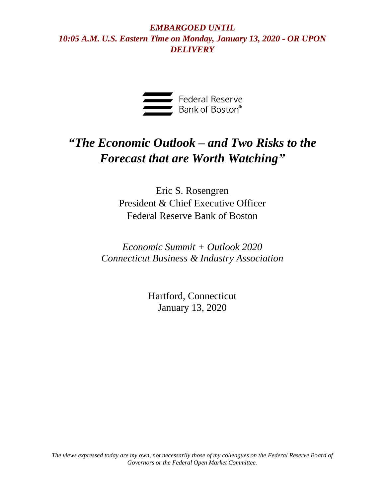

# *"The Economic Outlook – and Two Risks to the Forecast that are Worth Watching"*

Eric S. Rosengren President & Chief Executive Officer Federal Reserve Bank of Boston

*Economic Summit + Outlook 2020 Connecticut Business & Industry Association*

> Hartford, Connecticut January 13, 2020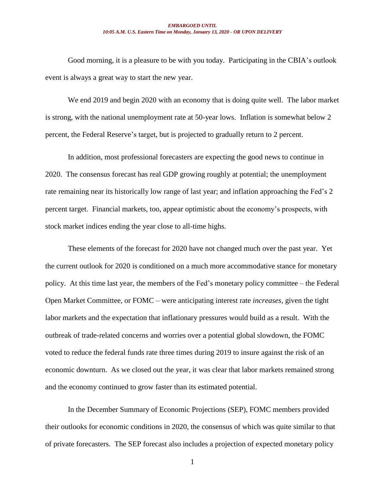Good morning, it is a pleasure to be with you today. Participating in the CBIA's outlook event is always a great way to start the new year.

We end 2019 and begin 2020 with an economy that is doing quite well. The labor market is strong, with the national unemployment rate at 50-year lows. Inflation is somewhat below 2 percent, the Federal Reserve's target, but is projected to gradually return to 2 percent.

In addition, most professional forecasters are expecting the good news to continue in 2020. The consensus forecast has real GDP growing roughly at potential; the unemployment rate remaining near its historically low range of last year; and inflation approaching the Fed's 2 percent target. Financial markets, too, appear optimistic about the economy's prospects, with stock market indices ending the year close to all-time highs.

These elements of the forecast for 2020 have not changed much over the past year. Yet the current outlook for 2020 is conditioned on a much more accommodative stance for monetary policy. At this time last year, the members of the Fed's monetary policy committee – the Federal Open Market Committee, or FOMC – were anticipating interest rate *increases,* given the tight labor markets and the expectation that inflationary pressures would build as a result. With the outbreak of trade-related concerns and worries over a potential global slowdown, the FOMC voted to reduce the federal funds rate three times during 2019 to insure against the risk of an economic downturn. As we closed out the year, it was clear that labor markets remained strong and the economy continued to grow faster than its estimated potential.

In the December Summary of Economic Projections (SEP), FOMC members provided their outlooks for economic conditions in 2020, the consensus of which was quite similar to that of private forecasters. The SEP forecast also includes a projection of expected monetary policy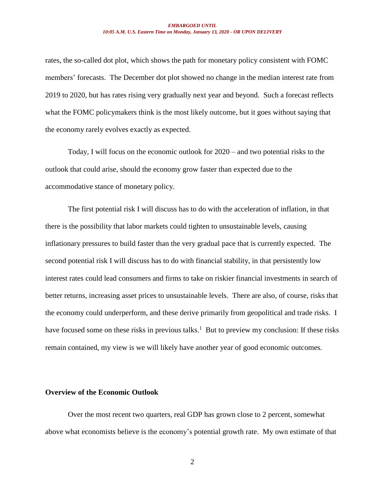rates, the so-called dot plot, which shows the path for monetary policy consistent with FOMC members' forecasts. The December dot plot showed no change in the median interest rate from 2019 to 2020, but has rates rising very gradually next year and beyond. Such a forecast reflects what the FOMC policymakers think is the most likely outcome, but it goes without saying that the economy rarely evolves exactly as expected.

Today, I will focus on the economic outlook for 2020 – and two potential risks to the outlook that could arise, should the economy grow faster than expected due to the accommodative stance of monetary policy.

The first potential risk I will discuss has to do with the acceleration of inflation, in that there is the possibility that labor markets could tighten to unsustainable levels, causing inflationary pressures to build faster than the very gradual pace that is currently expected. The second potential risk I will discuss has to do with financial stability, in that persistently low interest rates could lead consumers and firms to take on riskier financial investments in search of better returns, increasing asset prices to unsustainable levels. There are also, of course, risks that the economy could underperform, and these derive primarily from geopolitical and trade risks. I have focused some on these risks in previous talks.<sup>1</sup> But to preview my conclusion: If these risks remain contained, my view is we will likely have another year of good economic outcomes.

## **Overview of the Economic Outlook**

Over the most recent two quarters, real GDP has grown close to 2 percent, somewhat above what economists believe is the economy's potential growth rate. My own estimate of that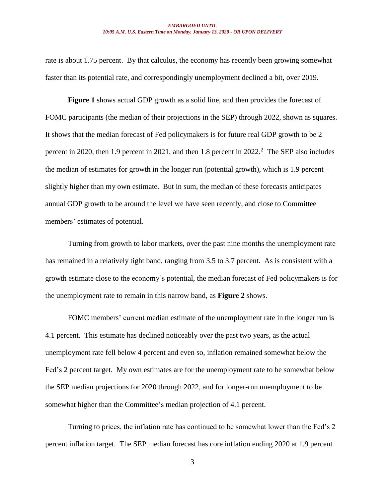rate is about 1.75 percent. By that calculus, the economy has recently been growing somewhat faster than its potential rate, and correspondingly unemployment declined a bit, over 2019.

**Figure 1** shows actual GDP growth as a solid line, and then provides the forecast of FOMC participants (the median of their projections in the SEP) through 2022, shown as squares. It shows that the median forecast of Fed policymakers is for future real GDP growth to be 2 percent in 2020, then 1.9 percent in 2021, and then 1.8 percent in 2022.<sup>2</sup> The SEP also includes the median of estimates for growth in the longer run (potential growth), which is 1.9 percent – slightly higher than my own estimate. But in sum, the median of these forecasts anticipates annual GDP growth to be around the level we have seen recently, and close to Committee members' estimates of potential.

Turning from growth to labor markets, over the past nine months the unemployment rate has remained in a relatively tight band, ranging from 3.5 to 3.7 percent. As is consistent with a growth estimate close to the economy's potential, the median forecast of Fed policymakers is for the unemployment rate to remain in this narrow band, as **Figure 2** shows.

FOMC members' current median estimate of the unemployment rate in the longer run is 4.1 percent. This estimate has declined noticeably over the past two years, as the actual unemployment rate fell below 4 percent and even so, inflation remained somewhat below the Fed's 2 percent target. My own estimates are for the unemployment rate to be somewhat below the SEP median projections for 2020 through 2022, and for longer-run unemployment to be somewhat higher than the Committee's median projection of 4.1 percent.

Turning to prices, the inflation rate has continued to be somewhat lower than the Fed's 2 percent inflation target. The SEP median forecast has core inflation ending 2020 at 1.9 percent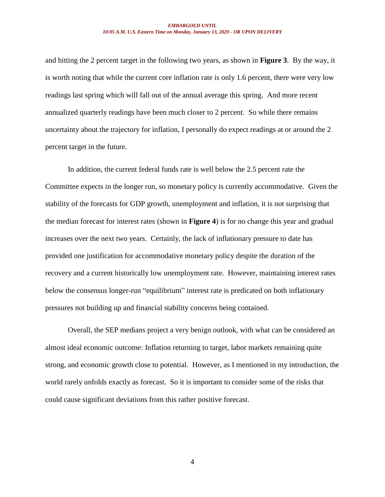and hitting the 2 percent target in the following two years, as shown in **Figure 3**. By the way, it is worth noting that while the current core inflation rate is only 1.6 percent, there were very low readings last spring which will fall out of the annual average this spring. And more recent annualized quarterly readings have been much closer to 2 percent. So while there remains uncertainty about the trajectory for inflation, I personally do expect readings at or around the 2 percent target in the future.

In addition, the current federal funds rate is well below the 2.5 percent rate the Committee expects in the longer run, so monetary policy is currently accommodative. Given the stability of the forecasts for GDP growth, unemployment and inflation, it is not surprising that the median forecast for interest rates (shown in **Figure 4**) is for no change this year and gradual increases over the next two years. Certainly, the lack of inflationary pressure to date has provided one justification for accommodative monetary policy despite the duration of the recovery and a current historically low unemployment rate. However, maintaining interest rates below the consensus longer-run "equilibrium" interest rate is predicated on both inflationary pressures not building up and financial stability concerns being contained.

Overall, the SEP medians project a very benign outlook, with what can be considered an almost ideal economic outcome: Inflation returning to target, labor markets remaining quite strong, and economic growth close to potential. However, as I mentioned in my introduction, the world rarely unfolds exactly as forecast. So it is important to consider some of the risks that could cause significant deviations from this rather positive forecast.

4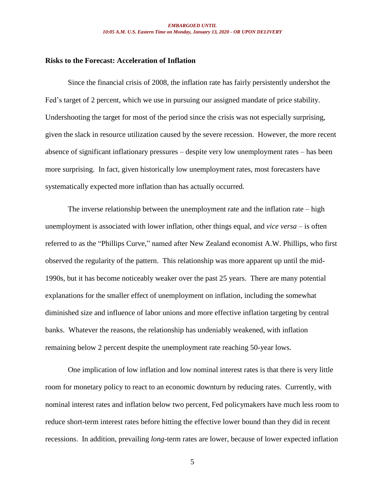## **Risks to the Forecast: Acceleration of Inflation**

Since the financial crisis of 2008, the inflation rate has fairly persistently undershot the Fed's target of 2 percent, which we use in pursuing our assigned mandate of price stability. Undershooting the target for most of the period since the crisis was not especially surprising, given the slack in resource utilization caused by the severe recession. However, the more recent absence of significant inflationary pressures – despite very low unemployment rates – has been more surprising. In fact, given historically low unemployment rates, most forecasters have systematically expected more inflation than has actually occurred.

The inverse relationship between the unemployment rate and the inflation rate – high unemployment is associated with lower inflation, other things equal, and *vice versa* – is often referred to as the "Phillips Curve," named after New Zealand economist A.W. Phillips, who first observed the regularity of the pattern. This relationship was more apparent up until the mid-1990s, but it has become noticeably weaker over the past 25 years. There are many potential explanations for the smaller effect of unemployment on inflation, including the somewhat diminished size and influence of labor unions and more effective inflation targeting by central banks. Whatever the reasons, the relationship has undeniably weakened, with inflation remaining below 2 percent despite the unemployment rate reaching 50-year lows.

One implication of low inflation and low nominal interest rates is that there is very little room for monetary policy to react to an economic downturn by reducing rates. Currently, with nominal interest rates and inflation below two percent, Fed policymakers have much less room to reduce short-term interest rates before hitting the effective lower bound than they did in recent recessions. In addition, prevailing *long*-term rates are lower, because of lower expected inflation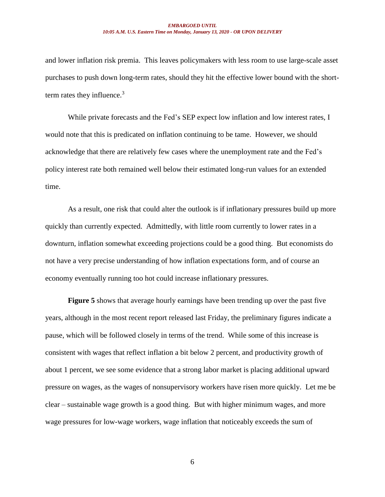and lower inflation risk premia. This leaves policymakers with less room to use large-scale asset purchases to push down long-term rates, should they hit the effective lower bound with the shortterm rates they influence.<sup>3</sup>

While private forecasts and the Fed's SEP expect low inflation and low interest rates, I would note that this is predicated on inflation continuing to be tame. However, we should acknowledge that there are relatively few cases where the unemployment rate and the Fed's policy interest rate both remained well below their estimated long-run values for an extended time.

As a result, one risk that could alter the outlook is if inflationary pressures build up more quickly than currently expected. Admittedly, with little room currently to lower rates in a downturn, inflation somewhat exceeding projections could be a good thing. But economists do not have a very precise understanding of how inflation expectations form, and of course an economy eventually running too hot could increase inflationary pressures.

**Figure 5** shows that average hourly earnings have been trending up over the past five years, although in the most recent report released last Friday, the preliminary figures indicate a pause, which will be followed closely in terms of the trend. While some of this increase is consistent with wages that reflect inflation a bit below 2 percent, and productivity growth of about 1 percent, we see some evidence that a strong labor market is placing additional upward pressure on wages, as the wages of nonsupervisory workers have risen more quickly. Let me be clear – sustainable wage growth is a good thing. But with higher minimum wages, and more wage pressures for low-wage workers, wage inflation that noticeably exceeds the sum of

6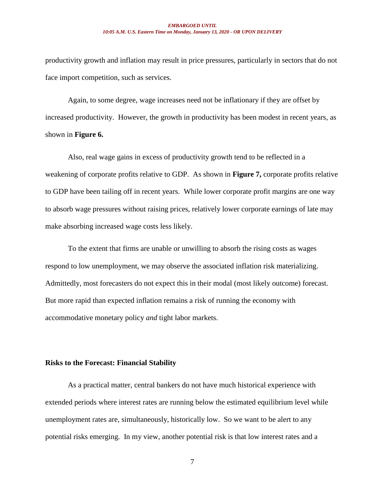productivity growth and inflation may result in price pressures, particularly in sectors that do not face import competition, such as services.

Again, to some degree, wage increases need not be inflationary if they are offset by increased productivity. However, the growth in productivity has been modest in recent years, as shown in **Figure 6.**

Also, real wage gains in excess of productivity growth tend to be reflected in a weakening of corporate profits relative to GDP. As shown in **Figure 7,** corporate profits relative to GDP have been tailing off in recent years. While lower corporate profit margins are one way to absorb wage pressures without raising prices, relatively lower corporate earnings of late may make absorbing increased wage costs less likely.

To the extent that firms are unable or unwilling to absorb the rising costs as wages respond to low unemployment, we may observe the associated inflation risk materializing. Admittedly, most forecasters do not expect this in their modal (most likely outcome) forecast. But more rapid than expected inflation remains a risk of running the economy with accommodative monetary policy *and* tight labor markets.

## **Risks to the Forecast: Financial Stability**

As a practical matter, central bankers do not have much historical experience with extended periods where interest rates are running below the estimated equilibrium level while unemployment rates are, simultaneously, historically low. So we want to be alert to any potential risks emerging. In my view, another potential risk is that low interest rates and a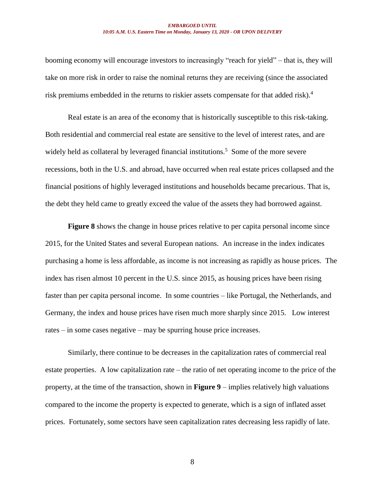booming economy will encourage investors to increasingly "reach for yield" – that is, they will take on more risk in order to raise the nominal returns they are receiving (since the associated risk premiums embedded in the returns to riskier assets compensate for that added risk). 4

Real estate is an area of the economy that is historically susceptible to this risk-taking. Both residential and commercial real estate are sensitive to the level of interest rates, and are widely held as collateral by leveraged financial institutions.<sup>5</sup> Some of the more severe recessions, both in the U.S. and abroad, have occurred when real estate prices collapsed and the financial positions of highly leveraged institutions and households became precarious. That is, the debt they held came to greatly exceed the value of the assets they had borrowed against.

**Figure 8** shows the change in house prices relative to per capita personal income since 2015, for the United States and several European nations. An increase in the index indicates purchasing a home is less affordable, as income is not increasing as rapidly as house prices. The index has risen almost 10 percent in the U.S. since 2015, as housing prices have been rising faster than per capita personal income. In some countries – like Portugal, the Netherlands, and Germany, the index and house prices have risen much more sharply since 2015. Low interest rates – in some cases negative – may be spurring house price increases.

Similarly, there continue to be decreases in the capitalization rates of commercial real estate properties. A low capitalization rate – the ratio of net operating income to the price of the property, at the time of the transaction, shown in **Figure 9** – implies relatively high valuations compared to the income the property is expected to generate, which is a sign of inflated asset prices. Fortunately, some sectors have seen capitalization rates decreasing less rapidly of late.

8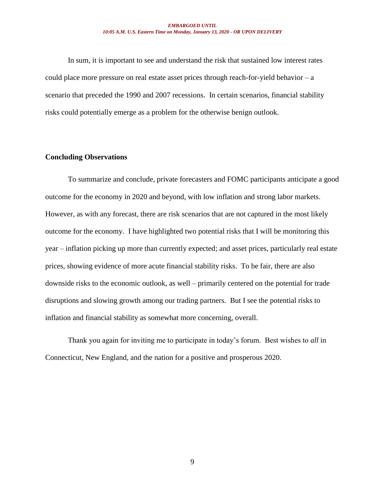In sum, it is important to see and understand the risk that sustained low interest rates could place more pressure on real estate asset prices through reach-for-yield behavior  $-a$ scenario that preceded the 1990 and 2007 recessions. In certain scenarios, financial stability risks could potentially emerge as a problem for the otherwise benign outlook.

## **Concluding Observations**

To summarize and conclude, private forecasters and FOMC participants anticipate a good outcome for the economy in 2020 and beyond, with low inflation and strong labor markets. However, as with any forecast, there are risk scenarios that are not captured in the most likely outcome for the economy. I have highlighted two potential risks that I will be monitoring this year – inflation picking up more than currently expected; and asset prices, particularly real estate prices, showing evidence of more acute financial stability risks. To be fair, there are also downside risks to the economic outlook, as well – primarily centered on the potential for trade disruptions and slowing growth among our trading partners. But I see the potential risks to inflation and financial stability as somewhat more concerning, overall.

Thank you again for inviting me to participate in today's forum. Best wishes to *all* in Connecticut, New England, and the nation for a positive and prosperous 2020.